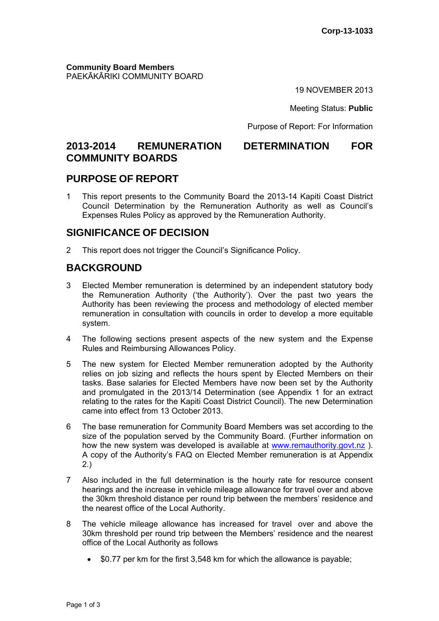**Community Board Members** PAEKĀKĀRIKI COMMUNITY BOARD

19 NOVEMBER 2013

Meeting Status: **Public**

Purpose of Report: For Information

# **2013-2014 REMUNERATION DETERMINATION FOR COMMUNITY BOARDS**

## **PURPOSE OF REPORT**

1 This report presents to the Community Board the 2013-14 Kapiti Coast District Council Determination by the Remuneration Authority as well as Council's Expenses Rules Policy as approved by the Remuneration Authority.

# **SIGNIFICANCE OF DECISION**

2 This report does not trigger the Council's Significance Policy.

# **BACKGROUND**

- 3 Elected Member remuneration is determined by an independent statutory body the Remuneration Authority ('the Authority'). Over the past two years the Authority has been reviewing the process and methodology of elected member remuneration in consultation with councils in order to develop a more equitable system.
- 4 The following sections present aspects of the new system and the Expense Rules and Reimbursing Allowances Policy.
- 5 The new system for Elected Member remuneration adopted by the Authority relies on job sizing and reflects the hours spent by Elected Members on their tasks. Base salaries for Elected Members have now been set by the Authority and promulgated in the 2013/14 Determination (see Appendix 1 for an extract relating to the rates for the Kapiti Coast District Council). The new Determination came into effect from 13 October 2013.
- 6 The base remuneration for Community Board Members was set according to the size of the population served by the Community Board. (Further information on how the new system was developed is available at www.remauthority.govt.nz). A copy of the Authority's FAQ on Elected Member remuneration is at Appendix 2.)
- 7 Also included in the full determination is the hourly rate for resource consent hearings and the increase in vehicle mileage allowance for travel over and above the 30km threshold distance per round trip between the members' residence and the nearest office of the Local Authority.
- 8 The vehicle mileage allowance has increased for travel over and above the 30km threshold per round trip between the Members' residence and the nearest office of the Local Authority as follows
	- \$0.77 per km for the first 3,548 km for which the allowance is payable;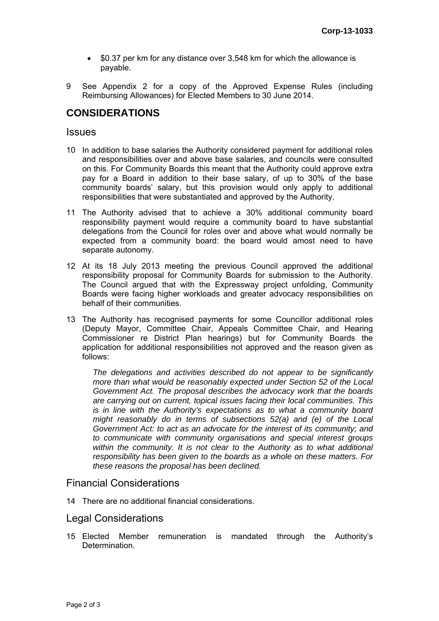- \$0.37 per km for any distance over 3,548 km for which the allowance is payable.
- 9 See Appendix 2 for a copy of the Approved Expense Rules (including Reimbursing Allowances) for Elected Members to 30 June 2014.

# **CONSIDERATIONS**

#### **Issues**

- 10 In addition to base salaries the Authority considered payment for additional roles and responsibilities over and above base salaries, and councils were consulted on this. For Community Boards this meant that the Authority could approve extra pay for a Board in addition to their base salary, of up to 30% of the base community boards' salary, but this provision would only apply to additional responsibilities that were substantiated and approved by the Authority.
- 11 The Authority advised that to achieve a 30% additional community board responsibility payment would require a community board to have substantial delegations from the Council for roles over and above what would normally be expected from a community board: the board would amost need to have separate autonomy.
- 12 At its 18 July 2013 meeting the previous Council approved the additional responsibility proposal for Community Boards for submission to the Authority. The Council argued that with the Expressway project unfolding, Community Boards were facing higher workloads and greater advocacy responsibilities on behalf of their communities.
- 13 The Authority has recognised payments for some Councillor additional roles (Deputy Mayor, Committee Chair, Appeals Committee Chair, and Hearing Commissioner re District Plan hearings) but for Community Boards the application for additional responsibilities not approved and the reason given as follows:

*The delegations and activities described do not appear to be significantly more than what would be reasonably expected under Section 52 of the Local Government Act. The proposal describes the advocacy work that the boards are carrying out on current, topical issues facing their local communities. This is in line with the Authority's expectations as to what a community board might reasonably do in terms of subsections 52(a) and (e) of the Local Government Act: to act as an advocate for the interest of its community; and to communicate with community organisations and special interest groups within the community. It is not clear to the Authority as to what additional responsibility has been given to the boards as a whole on these matters. For these reasons the proposal has been declined.* 

#### Financial Considerations

14 There are no additional financial considerations.

### Legal Considerations

15 Elected Member remuneration is mandated through the Authority's **Determination**